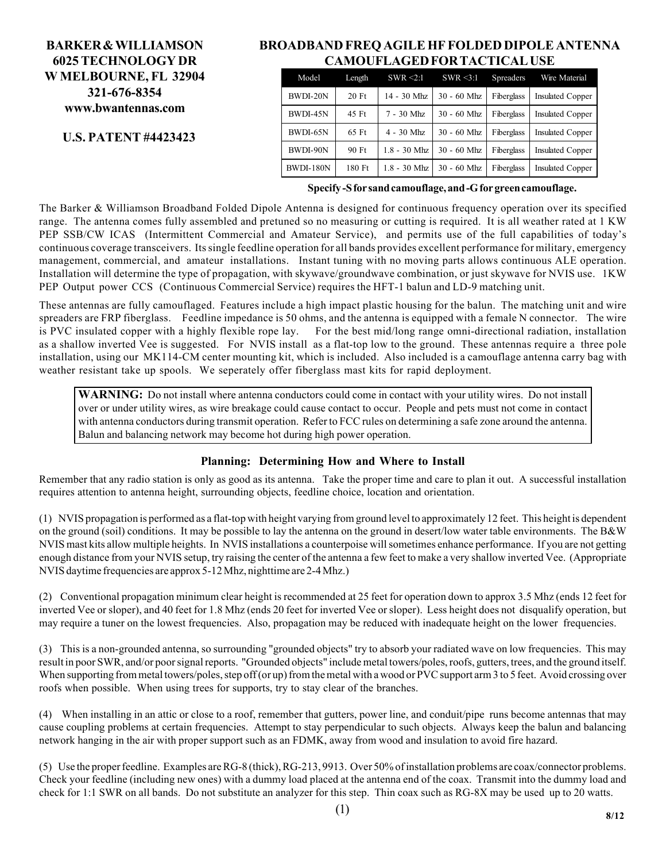## **BARKER & WILLIAMSON 6025 TECHNOLOGY DR W MELBOURNE, FL 32904 321-676-8354 www.bwantennas.com**

## **U.S. PATENT #4423423**

### **BROADBAND FREQ AGILE HF FOLDED DIPOLE ANTENNA CAMOUFLAGED FOR TACTICAL USE**

| Model            | Length | $SWR \leq 2:1$ | $SWR \leq 3:1$ | <b>Spreaders</b> | Wire Material           |
|------------------|--------|----------------|----------------|------------------|-------------------------|
| BWDI-20N         | 20 Ft  | 14 - 30 Mhz    | $30 - 60$ Mhz  | Fiberglass       | <b>Insulated Copper</b> |
| BWDI-45N         | 45 Ft  | 7 - 30 Mhz     | $30 - 60$ Mhz  | Fiberglass       | <b>Insulated Copper</b> |
| BWDI-65N         | 65 Ft  | $4 - 30$ Mhz   | $30 - 60$ Mhz  | Fiberglass       | <b>Insulated Copper</b> |
| BWDI-90N         | 90 Ft  | $1.8 - 30$ Mhz | $30 - 60$ Mhz  | Fiberglass       | <b>Insulated Copper</b> |
| <b>BWDI-180N</b> | 180 Ft | $1.8 - 30$ Mhz | $30 - 60$ Mhz  | Fiberglass       | <b>Insulated Copper</b> |

**Specify -S for sand camouflage, and -G for green camouflage.**

The Barker & Williamson Broadband Folded Dipole Antenna is designed for continuous frequency operation over its specified range. The antenna comes fully assembled and pretuned so no measuring or cutting is required. It is all weather rated at 1 KW PEP SSB/CW ICAS (Intermittent Commercial and Amateur Service), and permits use of the full capabilities of today's continuous coverage transceivers. Its single feedline operation for all bands provides excellent performance for military, emergency management, commercial, and amateur installations. Instant tuning with no moving parts allows continuous ALE operation. Installation will determine the type of propagation, with skywave/groundwave combination, or just skywave for NVIS use. 1KW PEP Output power CCS (Continuous Commercial Service) requires the HFT-1 balun and LD-9 matching unit.

These antennas are fully camouflaged. Features include a high impact plastic housing for the balun. The matching unit and wire spreaders are FRP fiberglass. Feedline impedance is 50 ohms, and the antenna is equipped with a female N connector. The wire is PVC insulated copper with a highly flexible rope lay. For the best mid/long range omni-directional radiation, installation as a shallow inverted Vee is suggested. For NVIS install as a flat-top low to the ground. These antennas require a three pole installation, using our MK114-CM center mounting kit, which is included. Also included is a camouflage antenna carry bag with weather resistant take up spools. We seperately offer fiberglass mast kits for rapid deployment.

**WARNING:** Do not install where antenna conductors could come in contact with your utility wires. Do not install over or under utility wires, as wire breakage could cause contact to occur. People and pets must not come in contact with antenna conductors during transmit operation. Refer to FCC rules on determining a safe zone around the antenna. Balun and balancing network may become hot during high power operation.

#### **Planning: Determining How and Where to Install**

Remember that any radio station is only as good as its antenna. Take the proper time and care to plan it out. A successful installation requires attention to antenna height, surrounding objects, feedline choice, location and orientation.

(1) NVIS propagation is performed as a flat-top with height varying from ground level to approximately 12 feet. This height is dependent on the ground (soil) conditions. It may be possible to lay the antenna on the ground in desert/low water table environments. The B&W NVIS mast kits allow multiple heights. In NVIS installations a counterpoise will sometimes enhance performance. If you are not getting enough distance from your NVIS setup, try raising the center of the antenna a few feet to make a very shallow inverted Vee. (Appropriate NVIS daytime frequencies are approx 5-12 Mhz, nighttime are 2-4 Mhz.)

(2) Conventional propagation minimum clear height is recommended at 25 feet for operation down to approx 3.5 Mhz (ends 12 feet for inverted Vee or sloper), and 40 feet for 1.8 Mhz (ends 20 feet for inverted Vee or sloper). Less height does not disqualify operation, but may require a tuner on the lowest frequencies. Also, propagation may be reduced with inadequate height on the lower frequencies.

(3) This is a non-grounded antenna, so surrounding "grounded objects" try to absorb your radiated wave on low frequencies. This may result in poor SWR, and/or poor signal reports. "Grounded objects" include metal towers/poles, roofs, gutters, trees, and the ground itself. When supporting from metal towers/poles, step off (or up) from the metal with a wood or PVC support arm 3 to 5 feet. Avoid crossing over roofs when possible. When using trees for supports, try to stay clear of the branches.

(4) When installing in an attic or close to a roof, remember that gutters, power line, and conduit/pipe runs become antennas that may cause coupling problems at certain frequencies. Attempt to stay perpendicular to such objects. Always keep the balun and balancing network hanging in the air with proper support such as an FDMK, away from wood and insulation to avoid fire hazard.

(5) Use the proper feedline. Examples are RG-8 (thick), RG-213, 9913. Over 50% of installation problems are coax/connector problems. Check your feedline (including new ones) with a dummy load placed at the antenna end of the coax. Transmit into the dummy load and check for 1:1 SWR on all bands. Do not substitute an analyzer for this step. Thin coax such as RG-8X may be used up to 20 watts.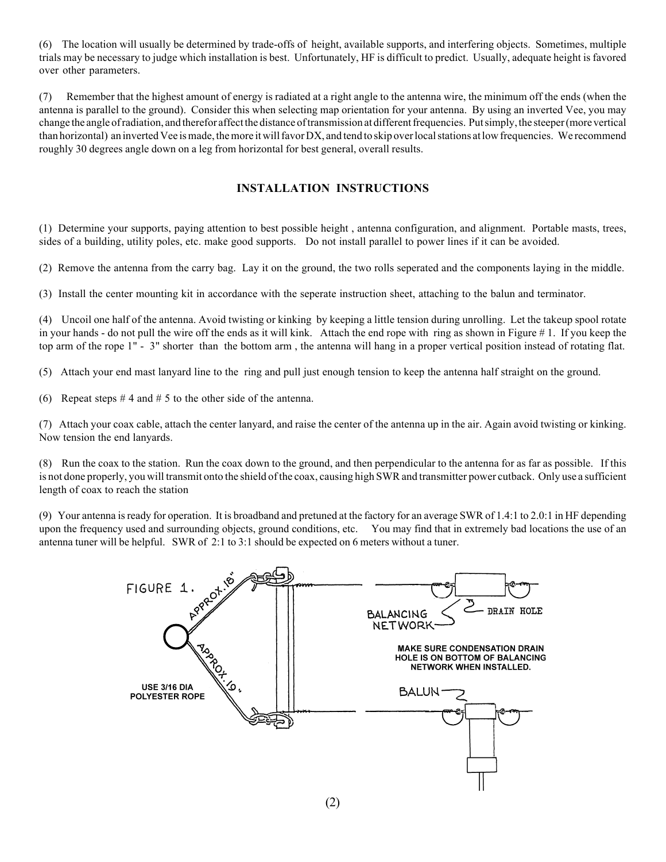(6) The location will usually be determined by trade-offs of height, available supports, and interfering objects. Sometimes, multiple trials may be necessary to judge which installation is best. Unfortunately, HF is difficult to predict. Usually, adequate height is favored over other parameters.

(7) Remember that the highest amount of energy is radiated at a right angle to the antenna wire, the minimum off the ends (when the antenna is parallel to the ground). Consider this when selecting map orientation for your antenna. By using an inverted Vee, you may change the angle of radiation, and therefor affect the distance of transmission at different frequencies. Put simply, the steeper (more vertical than horizontal) an inverted Vee is made, the more it will favor DX, and tend to skip over local stations at low frequencies. We recommend roughly 30 degrees angle down on a leg from horizontal for best general, overall results.

#### **INSTALLATION INSTRUCTIONS**

(1) Determine your supports, paying attention to best possible height , antenna configuration, and alignment. Portable masts, trees, sides of a building, utility poles, etc. make good supports. Do not install parallel to power lines if it can be avoided.

(2) Remove the antenna from the carry bag. Lay it on the ground, the two rolls seperated and the components laying in the middle.

(3) Install the center mounting kit in accordance with the seperate instruction sheet, attaching to the balun and terminator.

(4) Uncoil one half of the antenna. Avoid twisting or kinking by keeping a little tension during unrolling. Let the takeup spool rotate in your hands - do not pull the wire off the ends as it will kink. Attach the end rope with ring as shown in Figure # 1. If you keep the top arm of the rope 1" - 3" shorter than the bottom arm , the antenna will hang in a proper vertical position instead of rotating flat.

(5) Attach your end mast lanyard line to the ring and pull just enough tension to keep the antenna half straight on the ground.

(6) Repeat steps  $# 4$  and  $# 5$  to the other side of the antenna.

(7) Attach your coax cable, attach the center lanyard, and raise the center of the antenna up in the air. Again avoid twisting or kinking. Now tension the end lanyards.

(8) Run the coax to the station. Run the coax down to the ground, and then perpendicular to the antenna for as far as possible. If this is not done properly, you will transmit onto the shield of the coax, causing high SWR and transmitter power cutback. Only use a sufficient length of coax to reach the station

(9) Your antenna is ready for operation. It is broadband and pretuned at the factory for an average SWR of 1.4:1 to 2.0:1 in HF depending upon the frequency used and surrounding objects, ground conditions, etc. You may find that in extremely bad locations the use of an antenna tuner will be helpful. SWR of 2:1 to 3:1 should be expected on 6 meters without a tuner.